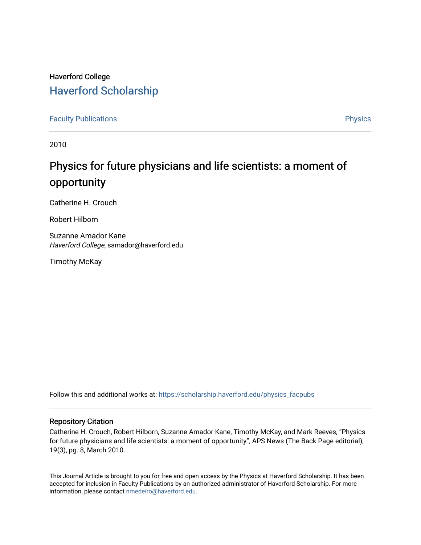## Haverford College [Haverford Scholarship](https://scholarship.haverford.edu/)

[Faculty Publications](https://scholarship.haverford.edu/physics_facpubs) **Physics** 

2010

# Physics for future physicians and life scientists: a moment of opportunity

Catherine H. Crouch

Robert Hilborn

Suzanne Amador Kane Haverford College, samador@haverford.edu

Timothy McKay

Follow this and additional works at: [https://scholarship.haverford.edu/physics\\_facpubs](https://scholarship.haverford.edu/physics_facpubs?utm_source=scholarship.haverford.edu%2Fphysics_facpubs%2F148&utm_medium=PDF&utm_campaign=PDFCoverPages) 

### Repository Citation

Catherine H. Crouch, Robert Hilborn, Suzanne Amador Kane, Timothy McKay, and Mark Reeves, "Physics for future physicians and life scientists: a moment of opportunity", APS News (The Back Page editorial), 19(3), pg. 8, March 2010.

This Journal Article is brought to you for free and open access by the Physics at Haverford Scholarship. It has been accepted for inclusion in Faculty Publications by an authorized administrator of Haverford Scholarship. For more information, please contact [nmedeiro@haverford.edu.](mailto:nmedeiro@haverford.edu)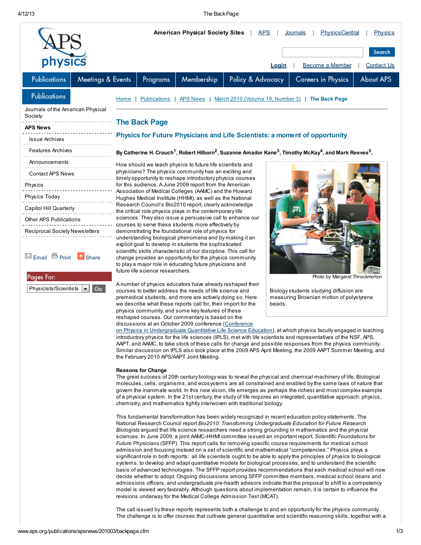#### 4/12/13 The BackPage

|                                                                                           |                   | <b>American Physical Society Sites</b><br><b>APS</b><br><b>PhysicsCentral</b><br>Journals<br><b>Physics</b>                                                                                                                                                                                                                                                                                                                                                                                                                                                                                                                                                                                                                                                                                                                                                                                                                                                                                                                                                                                                                                                                                                 |                     |                                                           |                   |        |                                                                                     |           |  |
|-------------------------------------------------------------------------------------------|-------------------|-------------------------------------------------------------------------------------------------------------------------------------------------------------------------------------------------------------------------------------------------------------------------------------------------------------------------------------------------------------------------------------------------------------------------------------------------------------------------------------------------------------------------------------------------------------------------------------------------------------------------------------------------------------------------------------------------------------------------------------------------------------------------------------------------------------------------------------------------------------------------------------------------------------------------------------------------------------------------------------------------------------------------------------------------------------------------------------------------------------------------------------------------------------------------------------------------------------|---------------------|-----------------------------------------------------------|-------------------|--------|-------------------------------------------------------------------------------------|-----------|--|
|                                                                                           |                   |                                                                                                                                                                                                                                                                                                                                                                                                                                                                                                                                                                                                                                                                                                                                                                                                                                                                                                                                                                                                                                                                                                                                                                                                             |                     |                                                           |                   |        |                                                                                     | Search    |  |
| physics                                                                                   |                   | <b>Become a Member</b><br><b>Contact Us</b><br><b>Login</b>                                                                                                                                                                                                                                                                                                                                                                                                                                                                                                                                                                                                                                                                                                                                                                                                                                                                                                                                                                                                                                                                                                                                                 |                     |                                                           |                   |        |                                                                                     |           |  |
| Publications                                                                              | Meetings & Events |                                                                                                                                                                                                                                                                                                                                                                                                                                                                                                                                                                                                                                                                                                                                                                                                                                                                                                                                                                                                                                                                                                                                                                                                             | Programs            | Membership                                                | Policy & Advocacy |        | Careers in Physics                                                                  | About APS |  |
| <b>Publications</b>                                                                       |                   | <b>Home</b>                                                                                                                                                                                                                                                                                                                                                                                                                                                                                                                                                                                                                                                                                                                                                                                                                                                                                                                                                                                                                                                                                                                                                                                                 | <b>Publications</b> | <b>APS News</b>                                           |                   |        | March 2010 (Volume 19, Number 3)   The Back Page                                    |           |  |
| Journals of the American Physical<br>Society                                              |                   | <b>The Back Page</b><br>Physics for Future Physicians and Life Scientists: a moment of opportunity                                                                                                                                                                                                                                                                                                                                                                                                                                                                                                                                                                                                                                                                                                                                                                                                                                                                                                                                                                                                                                                                                                          |                     |                                                           |                   |        |                                                                                     |           |  |
| APS News                                                                                  |                   |                                                                                                                                                                                                                                                                                                                                                                                                                                                                                                                                                                                                                                                                                                                                                                                                                                                                                                                                                                                                                                                                                                                                                                                                             |                     |                                                           |                   |        |                                                                                     |           |  |
| <b>Issue Archives</b>                                                                     |                   |                                                                                                                                                                                                                                                                                                                                                                                                                                                                                                                                                                                                                                                                                                                                                                                                                                                                                                                                                                                                                                                                                                                                                                                                             |                     |                                                           |                   |        |                                                                                     |           |  |
| <b>Features Archives</b>                                                                  |                   | By Catherine H. Crouch <sup>1</sup> , Robert Hilborn <sup>2</sup> , Suzanne Amador Kane <sup>3</sup> , Timothy McKay <sup>4</sup> , and Mark Reeves <sup>5</sup> ,                                                                                                                                                                                                                                                                                                                                                                                                                                                                                                                                                                                                                                                                                                                                                                                                                                                                                                                                                                                                                                          |                     |                                                           |                   |        |                                                                                     |           |  |
| Announcements                                                                             |                   |                                                                                                                                                                                                                                                                                                                                                                                                                                                                                                                                                                                                                                                                                                                                                                                                                                                                                                                                                                                                                                                                                                                                                                                                             |                     | How should we teach physics to future life scientists and |                   |        |                                                                                     |           |  |
| <b>Contact APS News</b>                                                                   |                   | physicians? The physics community has an exciting and<br>timely opportunity to reshape introductory physics courses<br>for this audience. A June 2009 report from the American<br>Association of Medical Colleges (AAMC) and the Howard<br>Hughes Medical Institute (HHMI), as well as the National<br>Research Council's Bio2010 report, clearly acknowledge<br>the critical role physics plays in the contemporary life<br>sciences. They also issue a persuasive call to enhance our<br>courses to serve these students more effectively by                                                                                                                                                                                                                                                                                                                                                                                                                                                                                                                                                                                                                                                              |                     |                                                           |                   |        |                                                                                     |           |  |
| Physics                                                                                   |                   |                                                                                                                                                                                                                                                                                                                                                                                                                                                                                                                                                                                                                                                                                                                                                                                                                                                                                                                                                                                                                                                                                                                                                                                                             |                     |                                                           |                   |        |                                                                                     |           |  |
| Physics Today                                                                             |                   |                                                                                                                                                                                                                                                                                                                                                                                                                                                                                                                                                                                                                                                                                                                                                                                                                                                                                                                                                                                                                                                                                                                                                                                                             |                     |                                                           |                   |        |                                                                                     |           |  |
| Capitol Hill Quarterly                                                                    |                   |                                                                                                                                                                                                                                                                                                                                                                                                                                                                                                                                                                                                                                                                                                                                                                                                                                                                                                                                                                                                                                                                                                                                                                                                             |                     |                                                           |                   |        |                                                                                     |           |  |
| Other APS Publications                                                                    |                   |                                                                                                                                                                                                                                                                                                                                                                                                                                                                                                                                                                                                                                                                                                                                                                                                                                                                                                                                                                                                                                                                                                                                                                                                             |                     |                                                           |                   |        |                                                                                     |           |  |
| Reciprocal Society Newsletters<br>⊠ Email <sup>□</sup> Print <b>□</b> Share<br>Pages For: |                   | demonstrating the foundational role of physics for<br>understanding biological phenomena and by making it an<br>explicit goal to develop in students the sophisticated<br>scientific skills characteristic of our discipline. This call for<br>change provides an opportunity for the physics community<br>to play a major role in educating future physicians and<br>future life science researchers.<br>Photo by Margaret Throckmorton                                                                                                                                                                                                                                                                                                                                                                                                                                                                                                                                                                                                                                                                                                                                                                    |                     |                                                           |                   |        |                                                                                     |           |  |
| Go<br>Physicists/Scientists<br>▼∣                                                         |                   | A number of physics educators have already reshaped their<br>courses to better address the needs of life science and<br>premedical students, and more are actively doing so. Here<br>we describe what these reports call for, their import for the<br>physics community, and some key features of these                                                                                                                                                                                                                                                                                                                                                                                                                                                                                                                                                                                                                                                                                                                                                                                                                                                                                                     |                     |                                                           |                   | beads. | Biology students studying diffusion are<br>measuring Brownian motion of polystyrene |           |  |
|                                                                                           |                   | reshaped courses. Our commentary is based on the<br>discussions at an October 2009 conference (Conference<br>on Physics in Undergraduate Quantitative Life Science Education), at which physics faculty engaged in teaching<br>introductory physics for the life sciences (IPLS), met with life scientists and representatives of the NSF, APS,<br>AAPT, and AAMC, to take stock of these calls for change and possible responses from the physics community.<br>Similar discussion on IPLS also took place at the 2009 APS April Meeting, the 2009 AAPT Summer Meeting, and<br>the February 2010 APS/AAPT Joint Meeting.<br><b>Reasons for Change</b><br>The great success of 20th century biology was to reveal the physical and chemical machinery of life. Biological<br>molecules, cells, organisms, and ecosystems are all constrained and enabled by the same laws of nature that<br>govern the inanimate world. In this new vision, life emerges as perhaps the richest and most complex example<br>of a physical system. In the 21st century, the study of life requires an integrated, quantitative approach: physics,<br>chemistry, and mathematics tightly interwoven with traditional biology. |                     |                                                           |                   |        |                                                                                     |           |  |
|                                                                                           |                   | This fundamental transformation has been widely recognized in recent education policy statements. The<br>National Research Council report Bio2010: Transforming Undergraduate Education for Future Research                                                                                                                                                                                                                                                                                                                                                                                                                                                                                                                                                                                                                                                                                                                                                                                                                                                                                                                                                                                                 |                     |                                                           |                   |        |                                                                                     |           |  |

Biologists argued that life science researchers need a strong grounding in mathematics and the physical sciences. In June 2009, a joint AAMC-HHMI committee issued an important report, Scientific Foundations for Future Physicians (SFFP). This report calls for removing specific course requirements for medical school admission and focusing instead on a set of scientific and mathematical "competencies." Physics plays a significant role in both reports: all life scientists ought to be able to apply the principles of physics to biological systems, to develop and adapt quantitative models for biological processes, and to understand the scientific basis of advanced technologies. The SFFP report provides recommendations that each medical school will now decide whether to adopt. Ongoing discussions among SFFP committee members, medical school deans and admissions officers, and undergraduate pre-health advisors indicate that the proposal to shift to a competency model is viewed very favorably. Although questions about implementation remain, it is certain to influence the revisions underway for the Medical College Admission Test (MCAT).

The call issued by these reports represents both a challenge to and an opportunity for the physics community. The challenge is to offer courses that cultivate general quantitative and scientific reasoning skills, together with a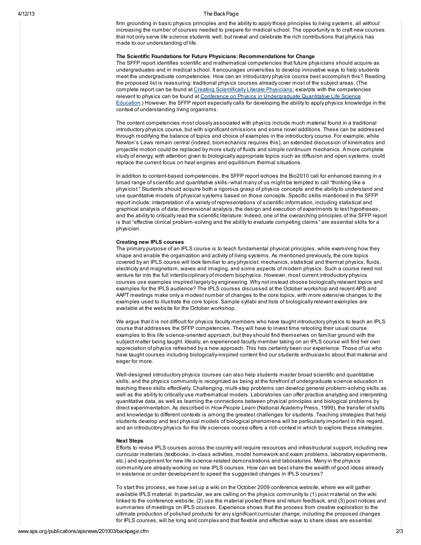#### 4/12/13 The BackPage

firm grounding in basic physics principles and the ability to apply those principles to living systems, all without increasing the number of courses needed to prepare for medical school. The opportunity is to craft new courses that not only serve life science students well, but reveal and celebrate the rich contributions that physics has made to our understanding of life.

#### The Scientific Foundations for Future Physicians: Recommendations for Change

The SFFP report identifies scientific and mathematical competencies that future physicians should acquire as undergraduates and in medical school. It encourages universities to develop innovative ways to help students meet the undergraduate competencies. How can an introductory physics course best accomplish this? Reading the proposed list is reassuring: traditional physics courses already cover most of the subject areas. (The complete report can be found at Creating [Scientifically](http://www.hhmi.org/grants/sffp.html) Literate Physicians; excerpts with the competencies relevant to physics can be found at Conference on Physics in [Undergraduate](http://www.gwu.edu/~ipls/HHMIAAMC.html) Quantitative Life Science Education.) However, the SFFP report especially calls for developing the ability to apply physics knowledge in the context of understanding living organisms.

The content competencies most closely associated with physics include much material found in a traditional introductory physics course, but with significant omissions and some novel additions. These can be addressed through modifying the balance of topics and choice of examples in the introductory course. For example, while Newton's Laws remain central (indeed, biomechanics requires this), an extended discussion of kinematics and projectile motion could be replaced by more study of fluids and simple continuum mechanics. A more complete study of energy, with attention given to biologically appropriate topics such as diffusion and open systems, could replace the current focus on heat engines and equilibrium thermal situations.

In addition to content-based competencies, the SFFP report echoes the Bio2010 call for enhanced training in a broad range of scientific and quantitative skills–what many of us might be tempted to call "thinking like a physicist." Students should acquire both a rigorous grasp of physics concepts and the ability to understand and use quantitative models of physical systems based on those concepts. Specific skills mentioned in the SFFP report include: interpretation of a variety of representations of scientific information, including statistical and graphical analysis of data; dimensional analysis; the design and execution of experiments to test hypotheses, and the ability to critically read the scientific literature. Indeed, one of the overarching principles of the SFFP report is that "effective clinical problem-solving and the ability to evaluate competing claims" are essential skills for a physician.

#### Creating new IPLS courses

The primary purpose of an IPLS course is to teach fundamental physical principles, while examining how they shape and enable the organization and activity of living systems. As mentioned previously, the core topics covered by an IPLS course will look familiar to any physicist: mechanics, statistical and thermal physics, fluids, electricity and magnetism, waves and imaging, and some aspects of modern physics. Such a course need not venture far into the full interdisciplinary of modern biophysics. However, most current introductory physics courses use examples inspired largely by engineering. Why not instead choose biologically relevant topics and examples for the IPLS audience? The IPLS courses discussed at the October workshop and recent APS and AAPT meetings make only a modest number of changes to the core topics, with more extensive changes to the examples used to illustrate the core topics. Sample syllabi and lists of biologically relevant examples are available at the website for the October workshop.

We argue that it is not difficult for physics faculty members who have taught introductory physics to teach an IPLS course that addresses the SFFP competencies. They will have to invest time retooling their usual course examples to this life science-oriented approach, but they should find themselves on familiar ground with the subject matter being taught. Ideally, an experienced faculty member taking on an IPLS course will find her own appreciation of physics refreshed by a new approach. This has certainly been our experience. Those of us who have taught courses including biologically-inspired content find our students enthusiastic about that material and eager for more.

Well-designed introductory physics courses can also help students master broad scientific and quantitative skills, and the physics community is recognized as being at the forefront of undergraduate science education in teaching these skills effectively. Challenging, multi-step problems can develop general problem-solving skills as well as the ability to critically use mathematical models. Laboratories can offer practice analyzing and interpreting quantitative data, as well as learning the connections between physical principles and biological problems by direct experimentation. As described in How People Learn (National Academy Press, 1999), the transfer of skills and knowledge to different contexts is among the greatest challenges for students. Teaching strategies that help students develop and test physical models of biological phenomena will be particularly important in this regard, and an introductory physics for the life sciences course offers a rich context in which to explore these strategies.

#### Next Steps

Efforts to revise IPLS courses across the country will require resources and infrastructural support, including new curricular materials (textbooks, in-class activities, model homework and exam problems, laboratory experiments, etc.) and equipment for new life science-related demonstrations and laboratories. Many in the physics community are already working on new IPLS courses. How can we best share the wealth of good ideas already in existence or under development to speed the suggested changes in IPLS courses?

To start this process, we have set up a wiki on the October 2009 conference website, where we will gather available IPLS material. In particular, we are calling on the physics community to (1) post material on the wiki linked to the conference website, (2) use the material posted there and return feedback, and (3) post notices and summaries of meetings on IPLS courses. Experience shows that the process from creative exploration to the ultimate production of polished products for any significant curricular change, including the proposed changes for IPLS courses, will be long and complex and that flexible and effective ways to share ideas are essential.